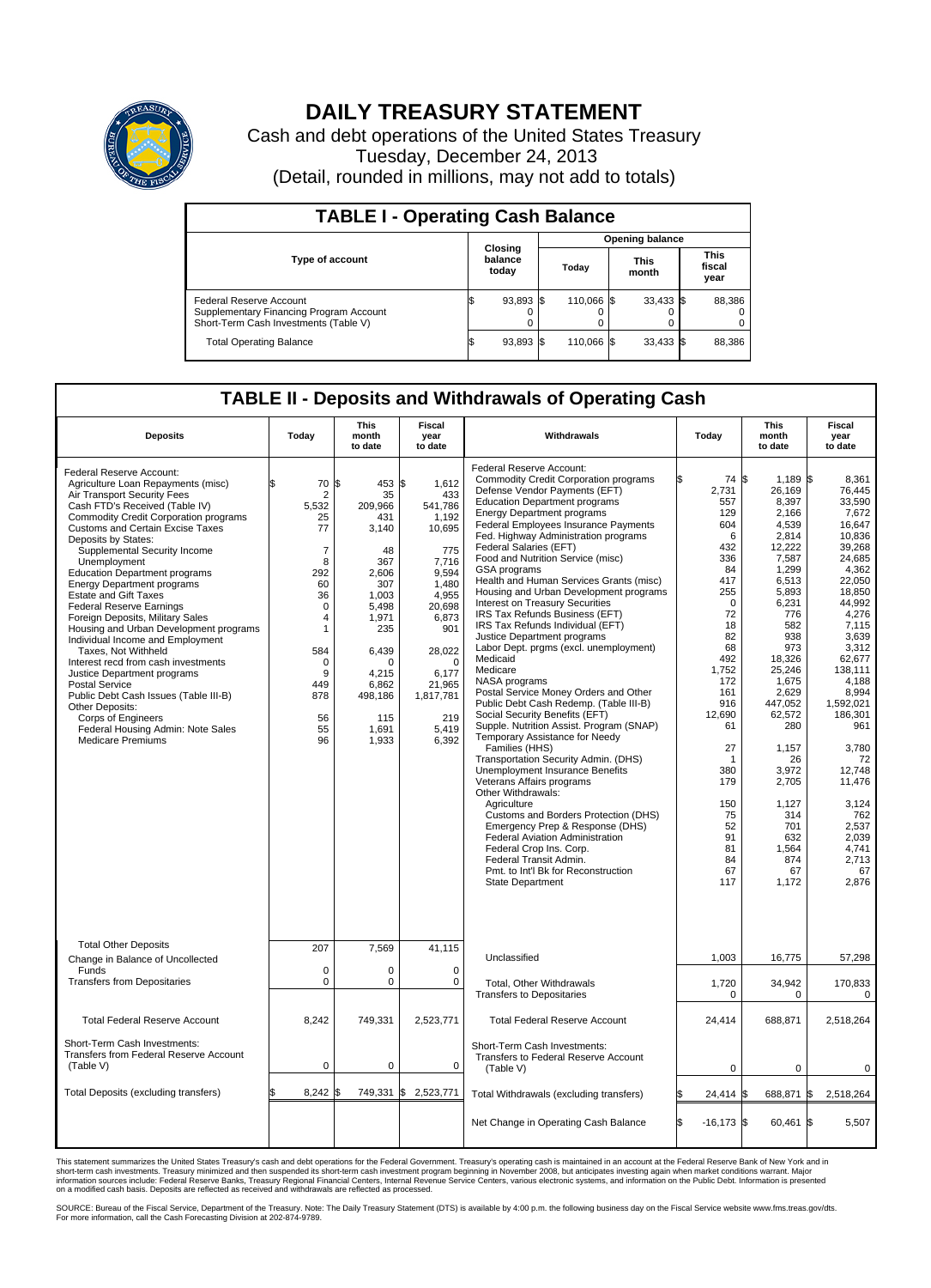

## **DAILY TREASURY STATEMENT**

Cash and debt operations of the United States Treasury Tuesday, December 24, 2013 (Detail, rounded in millions, may not add to totals)

| <b>TABLE I - Operating Cash Balance</b>                                                                     |                                    |           |  |                        |  |                      |  |                               |  |  |
|-------------------------------------------------------------------------------------------------------------|------------------------------------|-----------|--|------------------------|--|----------------------|--|-------------------------------|--|--|
|                                                                                                             |                                    |           |  | <b>Opening balance</b> |  |                      |  |                               |  |  |
| <b>Type of account</b>                                                                                      | <b>Closing</b><br>balance<br>today |           |  | Today                  |  | <b>This</b><br>month |  | <b>This</b><br>fiscal<br>year |  |  |
| Federal Reserve Account<br>Supplementary Financing Program Account<br>Short-Term Cash Investments (Table V) |                                    | 93,893 \$ |  | 110.066 \$             |  | $33,433$ \$          |  | 88,386                        |  |  |
| <b>Total Operating Balance</b>                                                                              | ıъ                                 | 93,893 \$ |  | 110.066 \$             |  | $33,433$ \$          |  | 88,386                        |  |  |

## **TABLE II - Deposits and Withdrawals of Operating Cash**

| <b>Deposits</b>                                                                                                                                                                                                                                                                                                                                                                                                                                                                                                                                                                                                                                                                                                                                                                                                                              | Todav                                                                                                                                                                         | <b>This</b><br>month<br>to date                                                                                                                                                          | Fiscal<br>year<br>to date                                                                                                                                                                      | Withdrawals                                                                                                                                                                                                                                                                                                                                                                                                                                                                                                                                                                                                                                                                                                                                                                                                                                                                                                                                                                                                                                                                                                                                                                                                                                                                         | Today                                                                                                                                                                                                                                                             | <b>This</b><br>month<br>to date                                                                                                                                                                                                                                                                           | Fiscal<br>year<br>to date                                                                                                                                                                                                                                                                                                         |
|----------------------------------------------------------------------------------------------------------------------------------------------------------------------------------------------------------------------------------------------------------------------------------------------------------------------------------------------------------------------------------------------------------------------------------------------------------------------------------------------------------------------------------------------------------------------------------------------------------------------------------------------------------------------------------------------------------------------------------------------------------------------------------------------------------------------------------------------|-------------------------------------------------------------------------------------------------------------------------------------------------------------------------------|------------------------------------------------------------------------------------------------------------------------------------------------------------------------------------------|------------------------------------------------------------------------------------------------------------------------------------------------------------------------------------------------|-------------------------------------------------------------------------------------------------------------------------------------------------------------------------------------------------------------------------------------------------------------------------------------------------------------------------------------------------------------------------------------------------------------------------------------------------------------------------------------------------------------------------------------------------------------------------------------------------------------------------------------------------------------------------------------------------------------------------------------------------------------------------------------------------------------------------------------------------------------------------------------------------------------------------------------------------------------------------------------------------------------------------------------------------------------------------------------------------------------------------------------------------------------------------------------------------------------------------------------------------------------------------------------|-------------------------------------------------------------------------------------------------------------------------------------------------------------------------------------------------------------------------------------------------------------------|-----------------------------------------------------------------------------------------------------------------------------------------------------------------------------------------------------------------------------------------------------------------------------------------------------------|-----------------------------------------------------------------------------------------------------------------------------------------------------------------------------------------------------------------------------------------------------------------------------------------------------------------------------------|
| Federal Reserve Account:<br>Agriculture Loan Repayments (misc)<br>Air Transport Security Fees<br>Cash FTD's Received (Table IV)<br><b>Commodity Credit Corporation programs</b><br><b>Customs and Certain Excise Taxes</b><br>Deposits by States:<br>Supplemental Security Income<br>Unemployment<br><b>Education Department programs</b><br><b>Energy Department programs</b><br><b>Estate and Gift Taxes</b><br><b>Federal Reserve Earnings</b><br>Foreign Deposits, Military Sales<br>Housing and Urban Development programs<br>Individual Income and Employment<br>Taxes. Not Withheld<br>Interest recd from cash investments<br>Justice Department programs<br><b>Postal Service</b><br>Public Debt Cash Issues (Table III-B)<br>Other Deposits:<br>Corps of Engineers<br>Federal Housing Admin: Note Sales<br><b>Medicare Premiums</b> | \$<br>70<br>2<br>5,532<br>25<br>77<br>$\overline{7}$<br>8<br>292<br>60<br>36<br>$\mathbf 0$<br>$\overline{4}$<br>1<br>584<br>$\mathbf 0$<br>9<br>449<br>878<br>56<br>55<br>96 | 1\$<br>453 \$<br>35<br>209.966<br>431<br>3,140<br>48<br>367<br>2.606<br>307<br>1,003<br>5,498<br>1,971<br>235<br>6.439<br>$\Omega$<br>4.215<br>6,862<br>498,186<br>115<br>1,691<br>1,933 | 1,612<br>433<br>541,786<br>1,192<br>10,695<br>775<br>7,716<br>9,594<br>1.480<br>4,955<br>20,698<br>6,873<br>901<br>28,022<br>$\Omega$<br>6,177<br>21,965<br>1,817,781<br>219<br>5,419<br>6,392 | Federal Reserve Account:<br><b>Commodity Credit Corporation programs</b><br>Defense Vendor Payments (EFT)<br><b>Education Department programs</b><br><b>Energy Department programs</b><br><b>Federal Employees Insurance Payments</b><br>Fed. Highway Administration programs<br>Federal Salaries (EFT)<br>Food and Nutrition Service (misc)<br>GSA programs<br>Health and Human Services Grants (misc)<br>Housing and Urban Development programs<br>Interest on Treasury Securities<br>IRS Tax Refunds Business (EFT)<br>IRS Tax Refunds Individual (EFT)<br>Justice Department programs<br>Labor Dept. prgms (excl. unemployment)<br>Medicaid<br>Medicare<br>NASA programs<br>Postal Service Money Orders and Other<br>Public Debt Cash Redemp. (Table III-B)<br>Social Security Benefits (EFT)<br>Supple. Nutrition Assist. Program (SNAP)<br>Temporary Assistance for Needy<br>Families (HHS)<br>Transportation Security Admin. (DHS)<br>Unemployment Insurance Benefits<br>Veterans Affairs programs<br>Other Withdrawals:<br>Agriculture<br>Customs and Borders Protection (DHS)<br>Emergency Prep & Response (DHS)<br>Federal Aviation Administration<br>Federal Crop Ins. Corp.<br>Federal Transit Admin.<br>Pmt. to Int'l Bk for Reconstruction<br><b>State Department</b> | 74 \$<br>\$<br>2,731<br>557<br>129<br>604<br>6<br>432<br>336<br>84<br>417<br>255<br>$\Omega$<br>72<br>18<br>82<br>68<br>492<br>1,752<br>172<br>161<br>916<br>12,690<br>61<br>27<br>$\overline{1}$<br>380<br>179<br>150<br>75<br>52<br>91<br>81<br>84<br>67<br>117 | 1,189 \$<br>26,169<br>8,397<br>2,166<br>4,539<br>2,814<br>12,222<br>7.587<br>1,299<br>6,513<br>5,893<br>6,231<br>776<br>582<br>938<br>973<br>18,326<br>25,246<br>1.675<br>2,629<br>447.052<br>62,572<br>280<br>1,157<br>26<br>3,972<br>2,705<br>1,127<br>314<br>701<br>632<br>1,564<br>874<br>67<br>1,172 | 8.361<br>76.445<br>33,590<br>7,672<br>16.647<br>10,836<br>39,268<br>24.685<br>4,362<br>22,050<br>18,850<br>44,992<br>4,276<br>7,115<br>3.639<br>3,312<br>62.677<br>138,111<br>4.188<br>8,994<br>1,592,021<br>186,301<br>961<br>3,780<br>72<br>12,748<br>11,476<br>3,124<br>762<br>2,537<br>2,039<br>4,741<br>2,713<br>67<br>2,876 |
| <b>Total Other Deposits</b><br>Change in Balance of Uncollected                                                                                                                                                                                                                                                                                                                                                                                                                                                                                                                                                                                                                                                                                                                                                                              | 207                                                                                                                                                                           | 7,569                                                                                                                                                                                    | 41,115                                                                                                                                                                                         | Unclassified                                                                                                                                                                                                                                                                                                                                                                                                                                                                                                                                                                                                                                                                                                                                                                                                                                                                                                                                                                                                                                                                                                                                                                                                                                                                        | 1,003                                                                                                                                                                                                                                                             | 16,775                                                                                                                                                                                                                                                                                                    | 57,298                                                                                                                                                                                                                                                                                                                            |
| Funds<br><b>Transfers from Depositaries</b>                                                                                                                                                                                                                                                                                                                                                                                                                                                                                                                                                                                                                                                                                                                                                                                                  | $\mathbf 0$<br>$\mathbf 0$                                                                                                                                                    | 0<br>0                                                                                                                                                                                   | 0<br>$\mathbf 0$                                                                                                                                                                               | Total, Other Withdrawals<br><b>Transfers to Depositaries</b>                                                                                                                                                                                                                                                                                                                                                                                                                                                                                                                                                                                                                                                                                                                                                                                                                                                                                                                                                                                                                                                                                                                                                                                                                        | 1,720<br>0                                                                                                                                                                                                                                                        | 34,942<br>$\mathbf 0$                                                                                                                                                                                                                                                                                     | 170.833<br>0                                                                                                                                                                                                                                                                                                                      |
| <b>Total Federal Reserve Account</b>                                                                                                                                                                                                                                                                                                                                                                                                                                                                                                                                                                                                                                                                                                                                                                                                         | 8,242                                                                                                                                                                         | 749,331                                                                                                                                                                                  | 2,523,771                                                                                                                                                                                      | <b>Total Federal Reserve Account</b>                                                                                                                                                                                                                                                                                                                                                                                                                                                                                                                                                                                                                                                                                                                                                                                                                                                                                                                                                                                                                                                                                                                                                                                                                                                | 24,414                                                                                                                                                                                                                                                            | 688,871                                                                                                                                                                                                                                                                                                   | 2,518,264                                                                                                                                                                                                                                                                                                                         |
| Short-Term Cash Investments:<br>Transfers from Federal Reserve Account<br>(Table V)                                                                                                                                                                                                                                                                                                                                                                                                                                                                                                                                                                                                                                                                                                                                                          | $\mathbf 0$                                                                                                                                                                   | 0                                                                                                                                                                                        | $\mathbf 0$                                                                                                                                                                                    | Short-Term Cash Investments:<br>Transfers to Federal Reserve Account<br>(Table V)                                                                                                                                                                                                                                                                                                                                                                                                                                                                                                                                                                                                                                                                                                                                                                                                                                                                                                                                                                                                                                                                                                                                                                                                   | $\mathbf 0$                                                                                                                                                                                                                                                       | $\mathbf 0$                                                                                                                                                                                                                                                                                               | 0                                                                                                                                                                                                                                                                                                                                 |
| Total Deposits (excluding transfers)                                                                                                                                                                                                                                                                                                                                                                                                                                                                                                                                                                                                                                                                                                                                                                                                         | \$<br>8,242                                                                                                                                                                   | 1\$                                                                                                                                                                                      | 749,331 \$ 2,523,771                                                                                                                                                                           | Total Withdrawals (excluding transfers)                                                                                                                                                                                                                                                                                                                                                                                                                                                                                                                                                                                                                                                                                                                                                                                                                                                                                                                                                                                                                                                                                                                                                                                                                                             | 24,414                                                                                                                                                                                                                                                            | 688,871<br>1\$                                                                                                                                                                                                                                                                                            | 2,518,264<br>1\$                                                                                                                                                                                                                                                                                                                  |
|                                                                                                                                                                                                                                                                                                                                                                                                                                                                                                                                                                                                                                                                                                                                                                                                                                              |                                                                                                                                                                               |                                                                                                                                                                                          |                                                                                                                                                                                                | Net Change in Operating Cash Balance                                                                                                                                                                                                                                                                                                                                                                                                                                                                                                                                                                                                                                                                                                                                                                                                                                                                                                                                                                                                                                                                                                                                                                                                                                                | l\$<br>$-16,173$ \$                                                                                                                                                                                                                                               | $60,461$ \$                                                                                                                                                                                                                                                                                               | 5,507                                                                                                                                                                                                                                                                                                                             |

This statement summarizes the United States Treasury's cash and debt operations for the Federal Government. Treasury's operating cash is maintained in an account at the Federal Reserve Bank of New York and in<br>short-term ca

SOURCE: Bureau of the Fiscal Service, Department of the Treasury. Note: The Daily Treasury Statement (DTS) is available by 4:00 p.m. the following business day on the Fiscal Service website www.fms.treas.gov/dts.<br>For more